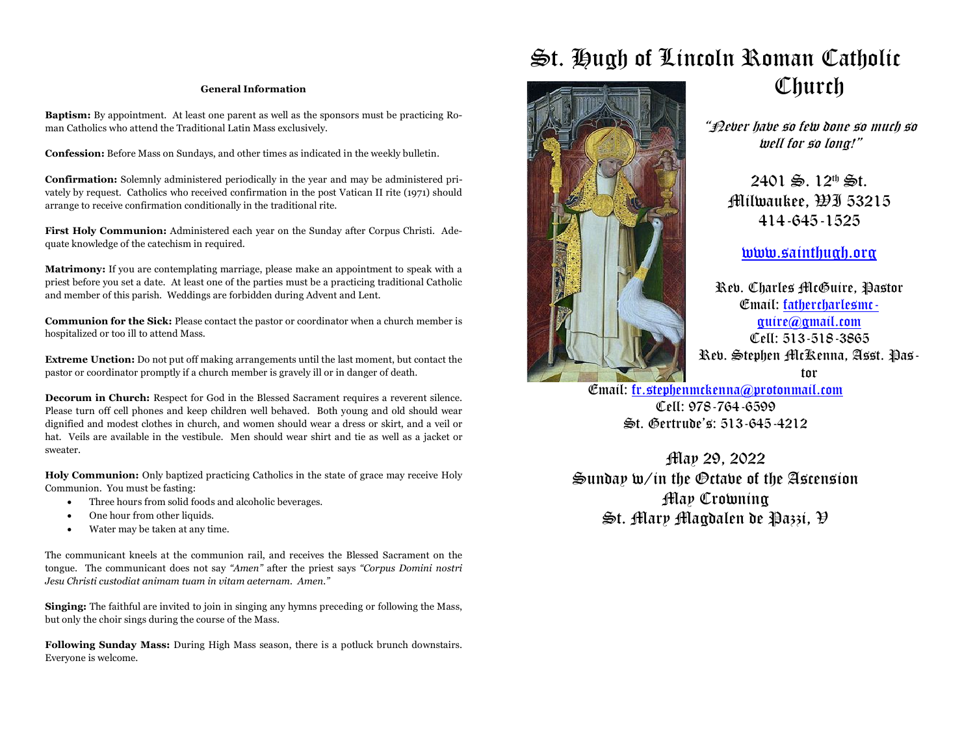#### **General Information**

**Baptism:** By appointment. At least one parent as well as the sponsors must be practicing Roman Catholics who attend the Traditional Latin Mass exclusively.

**Confession:** Before Mass on Sundays, and other times as indicated in the weekly bulletin.

**Confirmation:** Solemnly administered periodically in the year and may be administered privately by request. Catholics who received confirmation in the post Vatican II rite (1971) should arrange to receive confirmation conditionally in the traditional rite.

**First Holy Communion:** Administered each year on the Sunday after Corpus Christi. Adequate knowledge of the catechism in required.

**Matrimony:** If you are contemplating marriage, please make an appointment to speak with a priest before you set a date. At least one of the parties must be a practicing traditional Catholic and member of this parish. Weddings are forbidden during Advent and Lent.

**Communion for the Sick:** Please contact the pastor or coordinator when a church member is hospitalized or too ill to attend Mass.

**Extreme Unction:** Do not put off making arrangements until the last moment, but contact the pastor or coordinator promptly if a church member is gravely ill or in danger of death.

**Decorum in Church:** Respect for God in the Blessed Sacrament requires a reverent silence. Please turn off cell phones and keep children well behaved. Both young and old should wear dignified and modest clothes in church, and women should wear a dress or skirt, and a veil or hat. Veils are available in the vestibule. Men should wear shirt and tie as well as a jacket or sweater.

**Holy Communion:** Only baptized practicing Catholics in the state of grace may receive Holy Communion. You must be fasting:

- Three hours from solid foods and alcoholic beverages.
- One hour from other liquids.
- Water may be taken at any time.

The communicant kneels at the communion rail, and receives the Blessed Sacrament on the tongue. The communicant does not say *"Amen"* after the priest says *"Corpus Domini nostri Jesu Christi custodiat animam tuam in vitam aeternam. Amen."*

**Singing:** The faithful are invited to join in singing any hymns preceding or following the Mass, but only the choir sings during the course of the Mass.

**Following Sunday Mass:** During High Mass season, there is a potluck brunch downstairs. Everyone is welcome.



# St. Hugh of Lincoln Roman Catholic **Church**

"Never have so few done so much so well for so long!"

 $2401 \n\& 12^{th} \n\& 1.$ Milwaukee, WI 53215 414-645-1525

www.sainthugh.org

Rev. Charles McGuire, Pastor Email: fathercharlesmcguire@gmail.com Cell: 513-518-3865 Rev. Stephen McKenna, Asst. Pastor

Email: fr.stephenmckenna@protonmail.com Cell: 978-764-6599 St. Gertrude's: 513-645-4212

May 29, 2022 Sunday w/in the Octave of the Ascension May Crowning St. Mary Magdalen de Pazzi, V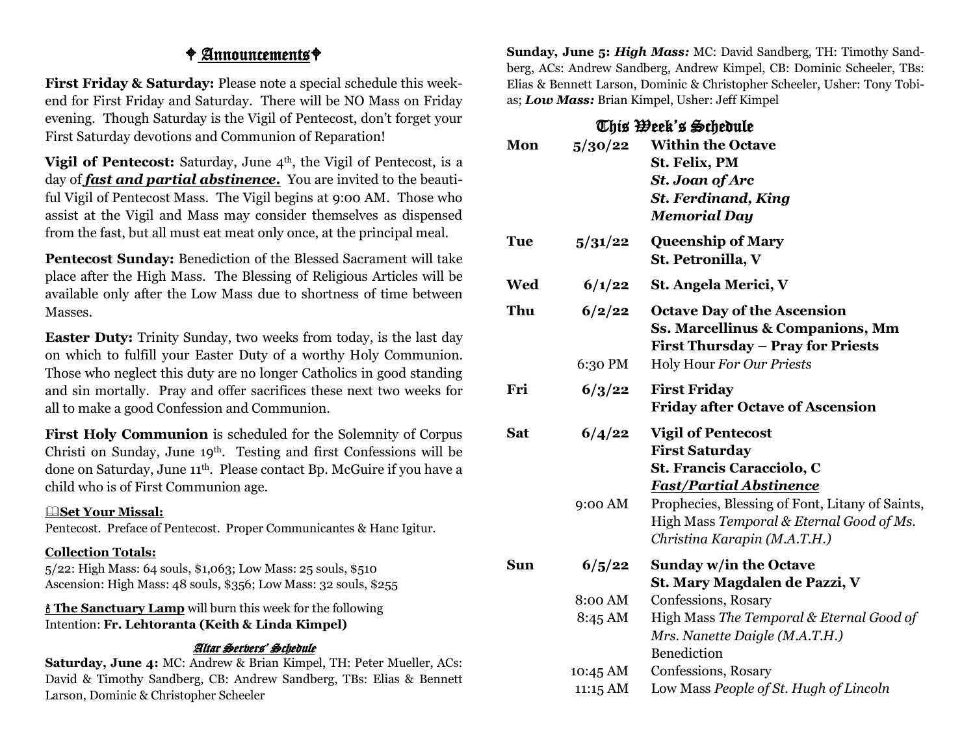### $\angle$  Announcements  $\angle$

**First Friday & Saturday:** Please note a special schedule this weekend for First Friday and Saturday. There will be NO Mass on Friday evening. Though Saturday is the Vigil of Pentecost, don't forget your First Saturday devotions and Communion of Reparation!

**Vigil of Pentecost:** Saturday, June 4<sup>th</sup>, the Vigil of Pentecost, is a day of *fast and partial abstinence***.** You are invited to the beautiful Vigil of Pentecost Mass. The Vigil begins at 9:00 AM. Those who assist at the Vigil and Mass may consider themselves as dispensed from the fast, but all must eat meat only once, at the principal meal.

**Pentecost Sunday:** Benediction of the Blessed Sacrament will take place after the High Mass. The Blessing of Religious Articles will be available only after the Low Mass due to shortness of time between Masses.

**Easter Duty:** Trinity Sunday, two weeks from today, is the last day on which to fulfill your Easter Duty of a worthy Holy Communion. Those who neglect this duty are no longer Catholics in good standing and sin mortally. Pray and offer sacrifices these next two weeks for all to make a good Confession and Communion.

**First Holy Communion** is scheduled for the Solemnity of Corpus Christi on Sunday, June 19th. Testing and first Confessions will be done on Saturday, June 11th. Please contact Bp. McGuire if you have a child who is of First Communion age.

#### &**Set Your Missal:**

Pentecost. Preface of Pentecost. Proper Communicantes & Hanc Igitur.

### **Collection Totals:**

5/22: High Mass: 64 souls, \$1,063; Low Mass: 25 souls, \$510 Ascension: High Mass: 48 souls, \$356; Low Mass: 32 souls, \$255

' **The Sanctuary Lamp** will burn this week for the following Intention: **Fr. Lehtoranta (Keith & Linda Kimpel)**

### Altar Servers' Schedule

**Saturday, June 4:** MC: Andrew & Brian Kimpel, TH: Peter Mueller, ACs: David & Timothy Sandberg, CB: Andrew Sandberg, TBs: Elias & Bennett Larson, Dominic & Christopher Scheeler

**Sunday, June 5:** *High Mass:* MC: David Sandberg, TH: Timothy Sandberg, ACs: Andrew Sandberg, Andrew Kimpel, CB: Dominic Scheeler, TBs: Elias & Bennett Larson, Dominic & Christopher Scheeler, Usher: Tony Tobias; *Low Mass:* Brian Kimpel, Usher: Jeff Kimpel

### This Week's Schedule

| Mon | 5/30/22           | <b>Within the Octave</b><br>St. Felix, PM<br><b>St. Joan of Arc</b><br><b>St. Ferdinand, King</b><br><b>Memorial Day</b>                                                                                                                         |
|-----|-------------------|--------------------------------------------------------------------------------------------------------------------------------------------------------------------------------------------------------------------------------------------------|
| Tue | 5/31/22           | <b>Queenship of Mary</b><br>St. Petronilla, V                                                                                                                                                                                                    |
| Wed | 6/1/22            | St. Angela Merici, V                                                                                                                                                                                                                             |
| Thu | 6/2/22            | <b>Octave Day of the Ascension</b><br>Ss. Marcellinus & Companions, Mm<br><b>First Thursday - Pray for Priests</b>                                                                                                                               |
|     | 6:30 PM           | Holy Hour For Our Priests                                                                                                                                                                                                                        |
| Fri | 6/3/22            | <b>First Friday</b><br><b>Friday after Octave of Ascension</b>                                                                                                                                                                                   |
| Sat | 6/4/22<br>9:00 AM | <b>Vigil of Pentecost</b><br><b>First Saturday</b><br>St. Francis Caracciolo, C<br><b>Fast/Partial Abstinence</b><br>Prophecies, Blessing of Font, Litany of Saints,<br>High Mass Temporal & Eternal Good of Ms.<br>Christina Karapin (M.A.T.H.) |
| Sun | 6/5/22            | <b>Sunday w/in the Octave</b><br>St. Mary Magdalen de Pazzi, V                                                                                                                                                                                   |
|     | 8:00 AM           | Confessions, Rosary                                                                                                                                                                                                                              |
|     | 8:45 AM           | High Mass The Temporal & Eternal Good of<br>Mrs. Nanette Daigle (M.A.T.H.)<br>Benediction                                                                                                                                                        |
|     | 10:45 AM          | Confessions, Rosary                                                                                                                                                                                                                              |
|     | 11:15 AM          | Low Mass People of St. Hugh of Lincoln                                                                                                                                                                                                           |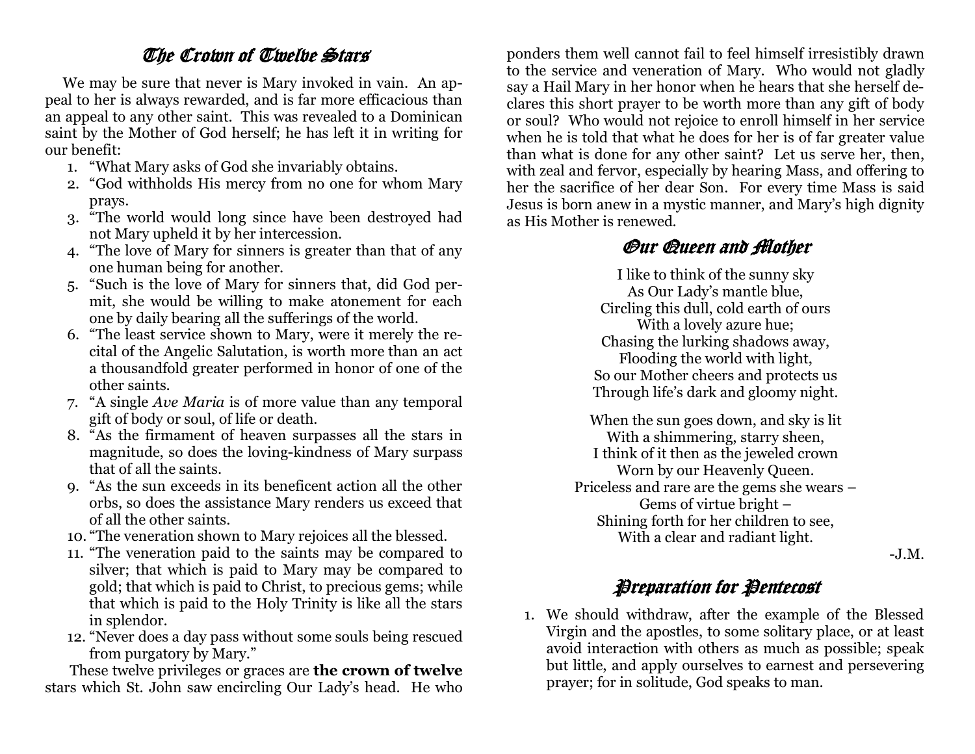## The Crown of Twelve Stars

 We may be sure that never is Mary invoked in vain. An appeal to her is always rewarded, and is far more efficacious than an appeal to any other saint. This was revealed to a Dominican saint by the Mother of God herself; he has left it in writing for our benefit:

- 1. "What Mary asks of God she invariably obtains.
- 2. "God withholds His mercy from no one for whom Mary prays.
- 3. "The world would long since have been destroyed had not Mary upheld it by her intercession.
- 4. "The love of Mary for sinners is greater than that of any one human being for another.
- 5. "Such is the love of Mary for sinners that, did God permit, she would be willing to make atonement for each one by daily bearing all the sufferings of the world.
- 6. "The least service shown to Mary, were it merely the recital of the Angelic Salutation, is worth more than an act a thousandfold greater performed in honor of one of the other saints.
- 7. "A single *Ave Maria* is of more value than any temporal gift of body or soul, of life or death.
- 8. "As the firmament of heaven surpasses all the stars in magnitude, so does the loving-kindness of Mary surpass that of all the saints.
- 9. "As the sun exceeds in its beneficent action all the other orbs, so does the assistance Mary renders us exceed that of all the other saints.
- 10. "The veneration shown to Mary rejoices all the blessed.
- 11. "The veneration paid to the saints may be compared to silver; that which is paid to Mary may be compared to gold; that which is paid to Christ, to precious gems; while that which is paid to the Holy Trinity is like all the stars in splendor.
- 12. "Never does a day pass without some souls being rescued from purgatory by Mary."

 These twelve privileges or graces are **the crown of twelve**  stars which St. John saw encircling Our Lady's head. He who

ponders them well cannot fail to feel himself irresistibly drawn to the service and veneration of Mary. Who would not gladly say a Hail Mary in her honor when he hears that she herself declares this short prayer to be worth more than any gift of body or soul? Who would not rejoice to enroll himself in her service when he is told that what he does for her is of far greater value than what is done for any other saint? Let us serve her, then, with zeal and fervor, especially by hearing Mass, and offering to her the sacrifice of her dear Son. For every time Mass is said Jesus is born anew in a mystic manner, and Mary's high dignity as His Mother is renewed.

## Our Queen and Mother

I like to think of the sunny sky As Our Lady's mantle blue, Circling this dull, cold earth of ours With a lovely azure hue; Chasing the lurking shadows away, Flooding the world with light, So our Mother cheers and protects us Through life's dark and gloomy night.

When the sun goes down, and sky is lit With a shimmering, starry sheen, I think of it then as the jeweled crown Worn by our Heavenly Queen. Priceless and rare are the gems she wears – Gems of virtue bright – Shining forth for her children to see, With a clear and radiant light.

-J.M.

## Preparation for Pentecost

1. We should withdraw, after the example of the Blessed Virgin and the apostles, to some solitary place, or at least avoid interaction with others as much as possible; speak but little, and apply ourselves to earnest and persevering prayer; for in solitude, God speaks to man.